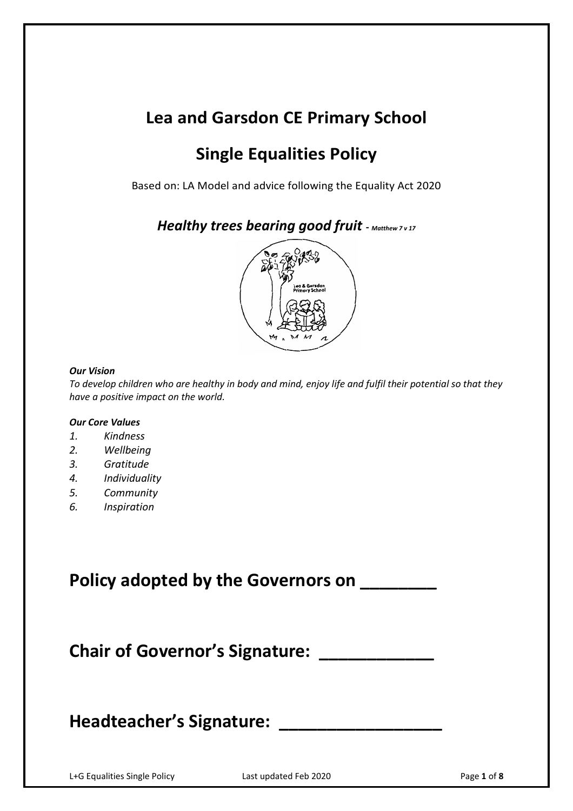# **Lea and Garsdon CE Primary School**

# **Single Equalities Policy**

Based on: LA Model and advice following the Equality Act 2020

*Healthy trees bearing good fruit* **-** *Matthew 7 v 17*



#### *Our Vision*

*To develop children who are healthy in body and mind, enjoy life and fulfil their potential so that they have a positive impact on the world.*

#### *Our Core Values*

- *1. Kindness*
- *2. Wellbeing*
- *3. Gratitude*
- *4. Individuality*
- *5. Community*
- *6. Inspiration*

**Policy adopted by the Governors on \_\_\_\_\_\_\_\_**

**Chair of Governor's Signature: \_\_\_\_\_\_\_\_\_\_\_\_**

# Headteacher's Signature: \_\_\_\_\_\_

L+G Equalities Single Policy Last updated Feb 2020 Page **1** of **8**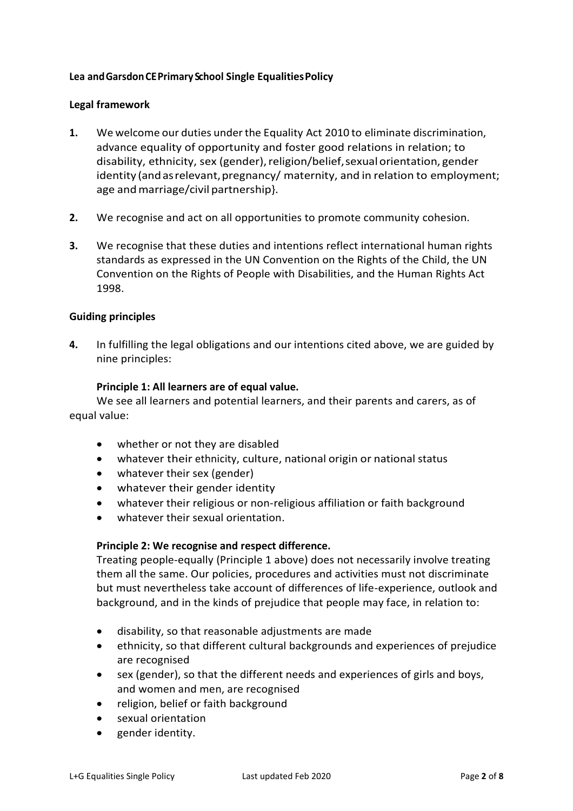# **Lea andGarsdonCEPrimary School Single EqualitiesPolicy**

### **Legal framework**

- **1.** We welcome our duties underthe Equality Act 2010 to eliminate discrimination, advance equality of opportunity and foster good relations in relation; to disability, ethnicity, sex (gender), religion/belief, sexual orientation, gender identity (and as relevant, pregnancy/ maternity, and in relation to employment; age and marriage/civil partnership}.
- **2.** We recognise and act on all opportunities to promote community cohesion.
- **3.** We recognise that these duties and intentions reflect international human rights standards as expressed in the UN Convention on the Rights of the Child, the UN Convention on the Rights of People with Disabilities, and the Human Rights Act 1998.

### **Guiding principles**

**4.** In fulfilling the legal obligations and our intentions cited above, we are guided by nine principles:

### **Principle 1: All learners are of equal value.**

We see all learners and potential learners, and their parents and carers, as of equal value:

- whether or not they are disabled
- whatever their ethnicity, culture, national origin or national status
- whatever their sex (gender)
- whatever their gender identity
- whatever their religious or non-religious affiliation or faith background
- whatever their sexual orientation.

### **Principle 2: We recognise and respect difference.**

Treating people-equally (Principle 1 above) does not necessarily involve treating them all the same. Our policies, procedures and activities must not discriminate but must nevertheless take account of differences of life-experience, outlook and background, and in the kinds of prejudice that people may face, in relation to:

- disability, so that reasonable adjustments are made
- ethnicity, so that different cultural backgrounds and experiences of prejudice are recognised
- sex (gender), so that the different needs and experiences of girls and boys, and women and men, are recognised
- religion, belief or faith background
- sexual orientation
- gender identity.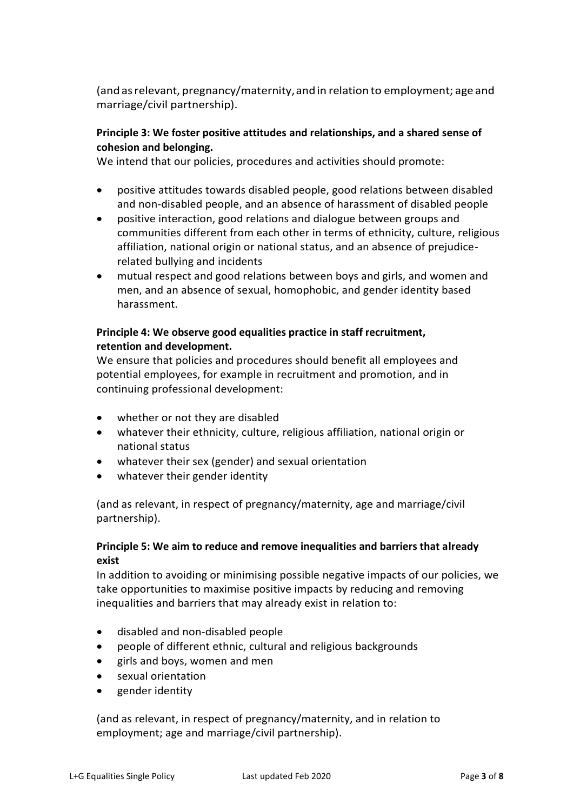(and asrelevant, pregnancy/maternity,andin relation to employment; age and marriage/civil partnership).

# **Principle 3: We foster positive attitudes and relationships, and a shared sense of cohesion and belonging.**

We intend that our policies, procedures and activities should promote:

- positive attitudes towards disabled people, good relations between disabled and non-disabled people, and an absence of harassment of disabled people
- positive interaction, good relations and dialogue between groups and communities different from each other in terms of ethnicity, culture, religious affiliation, national origin or national status, and an absence of prejudicerelated bullying and incidents
- mutual respect and good relations between boys and girls, and women and men, and an absence of sexual, homophobic, and gender identity based harassment.

# **Principle 4: We observe good equalities practice in staff recruitment, retention and development.**

We ensure that policies and procedures should benefit all employees and potential employees, for example in recruitment and promotion, and in continuing professional development:

- whether or not they are disabled
- whatever their ethnicity, culture, religious affiliation, national origin or national status
- whatever their sex (gender) and sexual orientation
- whatever their gender identity

(and as relevant, in respect of pregnancy/maternity, age and marriage/civil partnership).

# **Principle 5: We aim to reduce and remove inequalities and barriers that already exist**

In addition to avoiding or minimising possible negative impacts of our policies, we take opportunities to maximise positive impacts by reducing and removing inequalities and barriers that may already exist in relation to:

- disabled and non-disabled people
- people of different ethnic, cultural and religious backgrounds
- girls and boys, women and men
- sexual orientation
- gender identity

(and as relevant, in respect of pregnancy/maternity, and in relation to employment; age and marriage/civil partnership).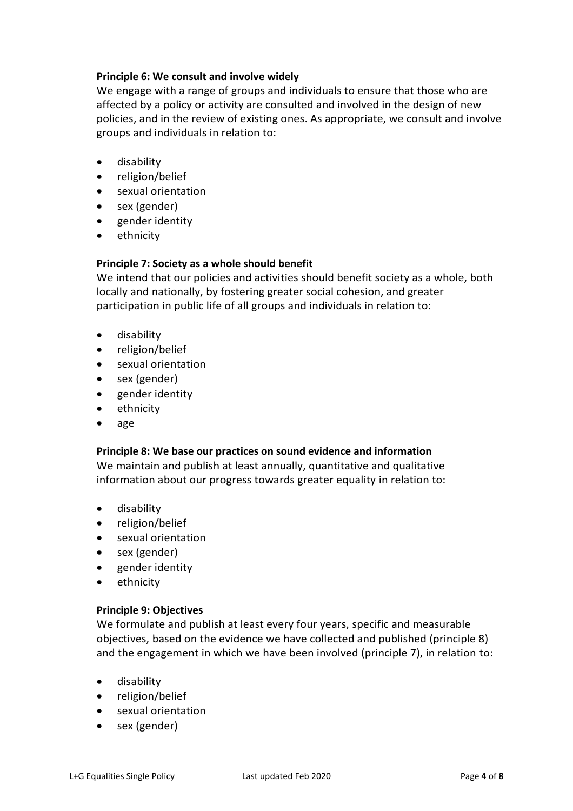# **Principle 6: We consult and involve widely**

We engage with a range of groups and individuals to ensure that those who are affected by a policy or activity are consulted and involved in the design of new policies, and in the review of existing ones. As appropriate, we consult and involve groups and individuals in relation to:

- disability
- religion/belief
- sexual orientation
- sex (gender)
- gender identity
- ethnicity

### **Principle 7: Society as a whole should benefit**

We intend that our policies and activities should benefit society as a whole, both locally and nationally, by fostering greater social cohesion, and greater participation in public life of all groups and individuals in relation to:

- disability
- religion/belief
- sexual orientation
- sex (gender)
- gender identity
- ethnicity
- age

### **Principle 8: We base our practices on sound evidence and information**

We maintain and publish at least annually, quantitative and qualitative information about our progress towards greater equality in relation to:

- disability
- religion/belief
- sexual orientation
- sex (gender)
- gender identity
- ethnicity

#### **Principle 9: Objectives**

We formulate and publish at least every four years, specific and measurable objectives, based on the evidence we have collected and published (principle 8) and the engagement in which we have been involved (principle 7), in relation to:

- disability
- religion/belief
- sexual orientation
- sex (gender)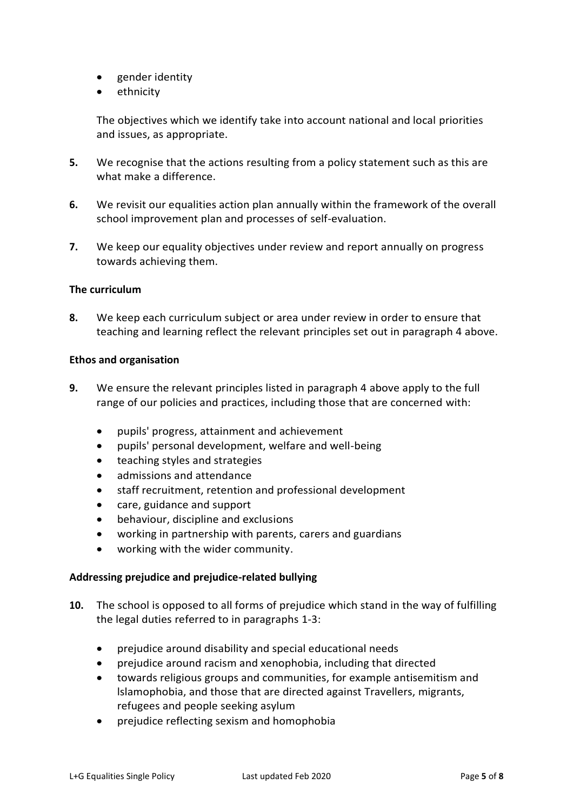- gender identity
- ethnicity

The objectives which we identify take into account national and local priorities and issues, as appropriate.

- **5.** We recognise that the actions resulting from a policy statement such as this are what make a difference.
- **6.** We revisit our equalities action plan annually within the framework of the overall school improvement plan and processes of self-evaluation.
- **7.** We keep our equality objectives under review and report annually on progress towards achieving them.

### **The curriculum**

**8.** We keep each curriculum subject or area under review in order to ensure that teaching and learning reflect the relevant principles set out in paragraph 4 above.

### **Ethos and organisation**

- **9.** We ensure the relevant principles listed in paragraph 4 above apply to the full range of our policies and practices, including those that are concerned with:
	- pupils' progress, attainment and achievement
	- pupils' personal development, welfare and well-being
	- teaching styles and strategies
	- admissions and attendance
	- staff recruitment, retention and professional development
	- care, guidance and support
	- behaviour, discipline and exclusions
	- working in partnership with parents, carers and guardians
	- working with the wider community.

### **Addressing prejudice and prejudice-related bullying**

- **10.** The school is opposed to all forms of prejudice which stand in the way of fulfilling the legal duties referred to in paragraphs 1-3:
	- prejudice around disability and special educational needs
	- prejudice around racism and xenophobia, including that directed
	- towards religious groups and communities, for example antisemitism and lslamophobia, and those that are directed against Travellers, migrants, refugees and people seeking asylum
	- prejudice reflecting sexism and homophobia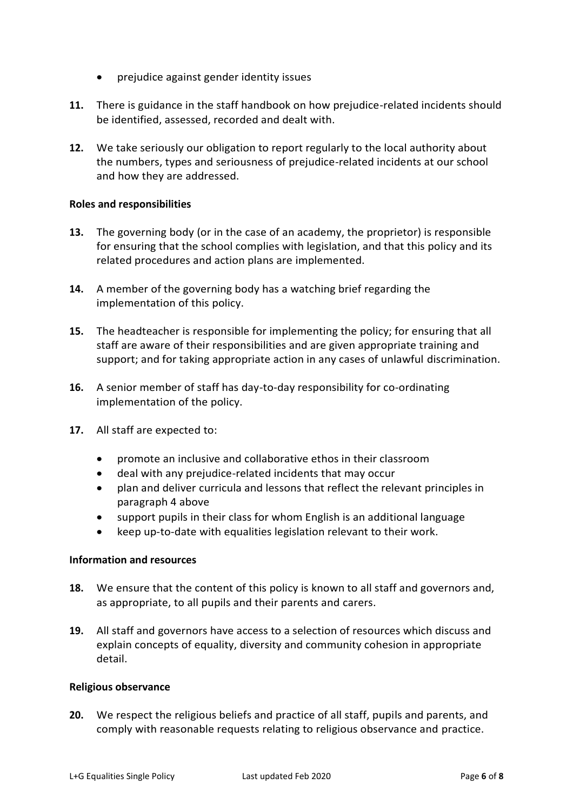- prejudice against gender identity issues
- **11.** There is guidance in the staff handbook on how prejudice-related incidents should be identified, assessed, recorded and dealt with.
- **12.** We take seriously our obligation to report regularly to the local authority about the numbers, types and seriousness of prejudice-related incidents at our school and how they are addressed.

### **Roles and responsibilities**

- **13.** The governing body (or in the case of an academy, the proprietor) is responsible for ensuring that the school complies with legislation, and that this policy and its related procedures and action plans are implemented.
- **14.** A member of the governing body has a watching brief regarding the implementation of this policy.
- **15.** The headteacher is responsible for implementing the policy; for ensuring that all staff are aware of their responsibilities and are given appropriate training and support; and for taking appropriate action in any cases of unlawful discrimination.
- **16.** A senior member of staff has day-to-day responsibility for co-ordinating implementation of the policy.
- **17.** All staff are expected to:
	- promote an inclusive and collaborative ethos in their classroom
	- deal with any prejudice-related incidents that may occur
	- plan and deliver curricula and lessons that reflect the relevant principles in paragraph 4 above
	- support pupils in their class for whom English is an additional language
	- keep up-to-date with equalities legislation relevant to their work.

### **Information and resources**

- **18.** We ensure that the content of this policy is known to all staff and governors and, as appropriate, to all pupils and their parents and carers.
- **19.** All staff and governors have access to a selection of resources which discuss and explain concepts of equality, diversity and community cohesion in appropriate detail.

#### **Religious observance**

**20.** We respect the religious beliefs and practice of all staff, pupils and parents, and comply with reasonable requests relating to religious observance and practice.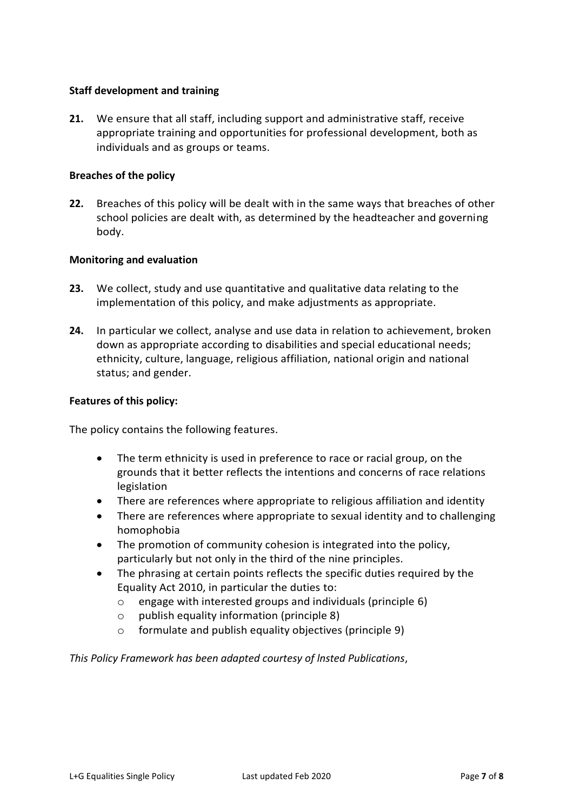## **Staff development and training**

**21.** We ensure that all staff, including support and administrative staff, receive appropriate training and opportunities for professional development, both as individuals and as groups or teams.

### **Breaches of the policy**

**22.** Breaches of this policy will be dealt with in the same ways that breaches of other school policies are dealt with, as determined by the headteacher and governing body.

### **Monitoring and evaluation**

- **23.** We collect, study and use quantitative and qualitative data relating to the implementation of this policy, and make adjustments as appropriate.
- **24.** In particular we collect, analyse and use data in relation to achievement, broken down as appropriate according to disabilities and special educational needs; ethnicity, culture, language, religious affiliation, national origin and national status; and gender.

#### **Features of this policy:**

The policy contains the following features.

- The term ethnicity is used in preference to race or racial group, on the grounds that it better reflects the intentions and concerns of race relations legislation
- There are references where appropriate to religious affiliation and identity
- There are references where appropriate to sexual identity and to challenging homophobia
- The promotion of community cohesion is integrated into the policy, particularly but not only in the third of the nine principles.
- The phrasing at certain points reflects the specific duties required by the Equality Act 2010, in particular the duties to:
	- o engage with interested groups and individuals (principle 6)
	- o publish equality information (principle 8)
	- o formulate and publish equality objectives (principle 9)

*This Policy Framework has been adapted courtesy of lnsted Publications*,